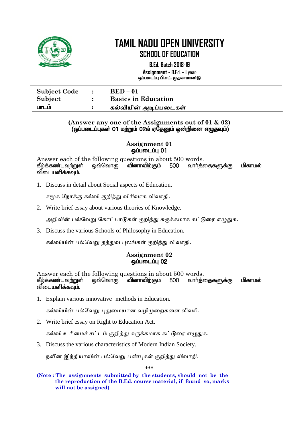

**B.Ed. Batch 2018-19 Assignment - B.Ed. – I year** ஒப்படைப்பு பி.எட். முதலாமாண்டு

| <b>Subject Code</b> | $\mathbf{r}$ . The set of $\mathbf{r}$ | $BED - 01$                 |
|---------------------|----------------------------------------|----------------------------|
| Subject             |                                        | <b>Basics in Education</b> |
| பாடம                |                                        | கல்வியின் அடிப்படைகள்      |

#### **(Answer any one of the Assignments out of 01 & 02)** (ஒப்படைப்புகள் 01 மற்றும் 02ல் ஏதேனும் ஒன்றினை எழுதவும்)

**Assignment 01**  $\overline{\phantom{0}}$ டிப்படைப்பு $\overline{\phantom{0}}$  01

Answer each of the following questions in about 500 words.<br>கீழ்க்கண்டவற்றுள் ஒவ்வொரு வினாவிற்கும் 500 வார்த்தைகளுக்கு வினாவிற்கும் 500 வார்க்கைகளுக்கு மிகாமல் விடையளிக்கவம்.

1. Discuss in detail about Social aspects of Education.

சமூக நோக்கு கல்யி குித்து யிோியோக யியோதி.

2. Write brief essay about various theories of Knowledge.

அறிவின் பல்வேறு கோட்பாடுகள் குறித்து சுருக்கமாக கட்டுரை எழுதுக.

3. Discuss the various Schools of Philosophy in Education.

கல்வியின் பல்வேறு தத்துவ புலங்கள் குறித்து விவாதி.

#### **Assignment 02 ஒப்படைப்பு 02**

Answer each of the following questions in about 500 words. கீழ்க்கண்டவற்றுள் ஒவ்வொரு வினாவிற்கும் 500 வார்த்தைகளுக்கு மிகாமல் விடையளிக்கவும்.

1. Explain various innovative methods in Education.

கல்வியின் பல்வேறு புதுமையான வழிமுறைகளை விவரி.

2. Write brief essay on Right to Education Act.

கல்வி உரிமைச் சட்டம் குறித்து சுருக்கமாக கட்டுரை எழுதுக.

3. Discuss the various characteristics of Modern Indian Society.

நவீன இந்தியாவின் பல்வேறு பண்புகள் குறித்து விவாதி.

**\*\*\***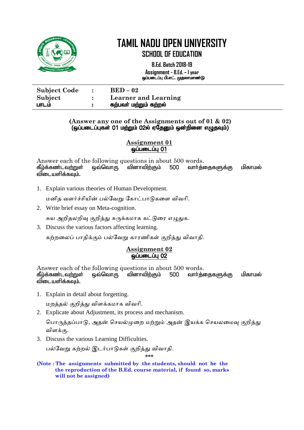

**B.Ed. Batch 2018-19 Assignment - B.Ed. – I year**

ஒப்படைப்பு பி.எட். முதலாமாண்டு j

| <b>Subject Code</b> | $BED-02$                    |
|---------------------|-----------------------------|
| Subject             | <b>Learner and Learning</b> |
| பாடம                | கற்பவா் மற்றும் கற்றல்      |

#### **(Answer any one of the Assignments out of 01 & 02)** (ஒப்படைப்புகள் 01 மற்றும் 02ல் ஏதேனும் ஒன்றினை எழுதவும்)

#### **Assignment 01**  $\ddot{\rm g}$ ப்படைப்பு $\rm 01$

Answer each of the following questions in about 500 words. கீழ்க்கண்டவ<u>ற்று</u>ள் ஒவ்வொரு வினாவிற்கும் 500 வார்த்தைகளுக்கு மிகாமல் விடையளிக்கவும்.

1. Explain various theories of Human Development.

மனித வளர்ச்சியின் பல்வேறு கோட்பாடுகளை விவரி.

2. Write brief essay on Meta-cognition.

சுய அறிதலறிவு குறித்து சுருக்கமாக கட்டுரை எழுதுக.

3. Discuss the various factors affecting learning.

கற்றலைப் பாதிக்கும் பல்வேறு காரணிகள் குறித்து விவாதி.

#### **Assignment 02** <u>ஒப்படைப்பு 02</u>

Answer each of the following questions in about 500 words. கீழ்க்கண்டவற்றுள் ஒவ்வொரு வினாவிற்கும் 500 வார்த்தைகளுக்கு மிகாமல் விடையளிக்கவும்.

1. Explain in detail about forgetting.

நத்தல் குித்து யிக்கநோக யியோி.

2. Explicate about Adjustment, its process and mechanism.

பொருத்தப்பாடு, அதன் செயல்முறை மற்றும் அதன் இயக்க செயலமைவு குறித்து யிக்கு.

3. Discuss the various Learning Difficulties.

பல்வேறு கற்றல் இடர்பாடுகள் குறித்து விவாதி.

**\*\*\***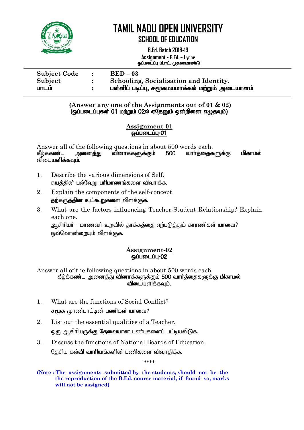

**B.Ed. Batch 2018-19 Assignment - B.Ed. – I year** ஒப்படைப்பு பி.எட். முதலாமாண்டு

| <b>Subject Code</b> | $\mathbb{R}$ | $BED-03$                                        |
|---------------------|--------------|-------------------------------------------------|
| Subject             |              | Schooling, Socialisation and Identity.          |
| பாடம                |              | பள்ளிப் படிப்பு, சமூகமயமாக்கல் மற்றும் அடையாளம் |

**(Answer any one of the Assignments out of 01 & 02)** (ஒப்படைப்புகள் 01 மற்றும் 02ல் ஏதேனும் ஒன்றினை எழுதவும்)

#### **Assignment-01**  $\omega$ ப்படைப்பு $-01$

Answer all of the following questions in about 500 words each. கீழ்க்கண்ட அனைத்து வினாக்களுக்கும் 500 வார்த்தைகளுக்கு மிகாமல் விடையளிக்கவும்.

- 1. Describe the various dimensions of Self. சுயக்கின் பல்வோபரிமாணங்களை விவரிக்க.
- 2. Explain the components of the self-concept. தற்கருத்தின் உட்கூறுகளை விளக்குக.
- 3. What are the factors influencing Teacher-Student Relationship? Explain each one.

ஆசிரியர் - மாணவர் உறவில் தாக்கத்தை ஏற்படுத்தும் காரணிகள் யாவை? லை்வொன்றையும் விளக்குக.

#### **Assignment-02 ஒப்படைப்பு-02**

Answer all of the following questions in about 500 words each. கீழ்க்கண்ட அனைத்து வினாக்களுக்கும் 500 வார்த்தைகளுக்கு மிகாமல் விடையளிக்கவும்.

- 1. What are the functions of Social Conflict? சுமூக முரண்பாட்டின் பணிகள் யாவை?
- 2. List out the essential qualities of a Teacher. ஒரு ஆசிரியருக்கு தேவையான பண்புகளைப் பட்டியலிடுக.
- 3. Discuss the functions of National Boards of Education. தேசிய கல்வி வாரியங்களின் பணிகளை விவாகிக்க.

**\*\*\*\***

**<sup>(</sup>Note : The assignments submitted by the students, should not be the the reproduction of the B.Ed. course material, if found so, marks will not be assigned)**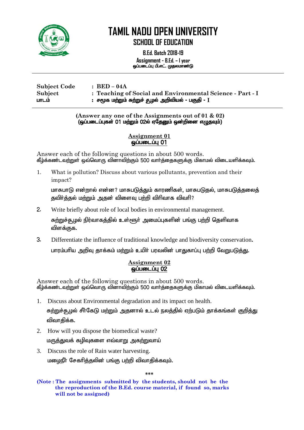

**B.Ed. Batch 2018-19 Assignment - B.Ed. – I year** ஒப்படைப்பு பி.எட். முதலமாண்டு

 $\overline{a}$ 

| <b>Subject Code</b> | $\pm$ BED – 04A                                           |  |
|---------------------|-----------------------------------------------------------|--|
| Subject             | : Teaching of Social and Environmental Science - Part - I |  |
| பாடம்               | : சமூக மற்றும் சுற்றுச் சூழல் அறிவியல் - பகுதி - $\rm I$  |  |

**(Answer any one of the Assignments out of 01 & 02)**  $\overline{G}$ (ஒப்படைப்புகள் 01 மற்றும் 02ல் ஏதேனும் ஒன்றினை எழுதவும்)

#### **Assignment 01**  $\ddot{\rm g}$ ப்படைப்பு $\rm 01$

Answer each of the following questions in about 500 words. கீழ்க்கண்டவற்றுள் ஒவ்வொரு வினாவிற்கும் 500 வார்த்தைகளுக்கு மிகாமல் விடையளிக்கவும்.

1. What is pollution? Discuss about various pollutants, prevention and their impact?

மாசுபாடு என்றால் என்ன? மாசுபடுத்தும் காரணிகள், மாசுபடுதல், மாசுபடுத்தலைத் தவிர்த்தல் மற்றும் அதன் விளைவு பற்றி விரிவாக விவரி?

2. Write briefly about role of local bodies in environmental management.

<u>சுற்றுச்சூழ</u>ல் நிர்வாகத்தில் உள்ளூர் அமைப்புகளின் பங்கு பற்றி தெளிவாக விளக்குக.

3. Differentiate the influence of traditional knowledge and biodiversity conservation**.** பாரம்பரிய அறிவு தாக்கம் மற்றும் உயிர் பரவலின் பாதுகாப்பு பற்றி வேறுபடுத்து.

#### **Assignment 02 ஒப்படைப்பு 02**

Answer each of the following questions in about 500 words. கீழ்க்கண்டவற்றுள் ஒவ்வொரு வினாவிற்கும் 500 வார்த்தைகளுக்கு மிகாமல் விடையளிக்கவும்.

- 1. Discuss about Environmental degradation and its impact on health. சுற்றுச்சூழல் சீர்கேடு மற்றும் அகனால் உடல் நலத்தில் ஏற்படும் தாக்கங்கள் குறித்து விவாதிக்க.
- 2. How will you dispose the biomedical waste? மருத்துவக் கழிவுகளை எவ்வாறு அகற்றுவாய்
- 3. Discuss the role of Rain water harvesting. மழைநீர் சேகரித்தலின் பங்கு பற்றி விவாதிக்கவும்.

**\*\*\***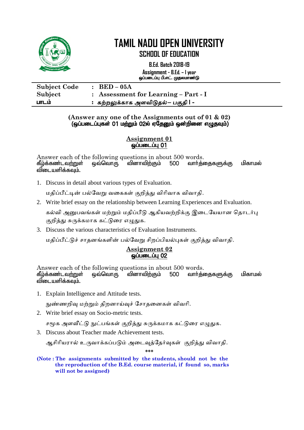

**B.Ed. Batch 2018-19 Assignment - B.Ed. – I year**

ஒப்படைப்பு பி.எட். முதலமாண்டு l

| <b>Subject Code</b> | $\therefore$ BED – 05A               |
|---------------------|--------------------------------------|
| Subject             | : Assessment for Learning – Part - I |
| பாடம்               | :  கற்றலுக்காக அளவிடுதல்– பகுதி I -  |

#### **(Answer any one of the Assignments out of 01 & 02)** (ஒப்படைப்புகள் 01 மற்றும் 02ல் ஏதேனும் ஒன்றினை எழுதவும்)

#### **Assignment 01** ஒப்படைப்பு 01

Answer each of the following questions in about 500 words. கீழ்க்கண்டவற்றுள் ஒவ்வொரு வினாவிற்கும் 500 வாா்த்தைகளுக்கு மிகாமல் விடையளிக்கவும்.

1. Discuss in detail about various types of Evaluation.

மதிப்பீட்டின் பல்வேறு வகைகள் குறித்து விரிவாக விவாதி.

2. Write brief essay on the relationship between Learning Experiences and Evaluation.

கல்வி அனுபவங்கள் மற்றும் மதிப்பீடு ஆகியவற்றிக்கு இடையேயான தொடர்பு குறித்து சுருக்கமாக கட்டுரை எழுதுக.

3. Discuss the various characteristics of Evaluation Instruments.

மதிப்பீட்டுச் சாதனங்களின் பல்வேறு சிறப்பியல்புகள் குறித்து விவாதி.

#### **Assignment 02** <u> ஓப்படைப்ப</u> 02

Answer each of the following questions in about 500 words. கீழ்க்கண்டவ<u>ற்று</u>ள் ஒவ்வொரு வினாவிற்கும் 500 வார்த்தைகளுக்கு மிகாமல் விடையளிக்கவும்.

1. Explain Intelligence and Attitude tests.

நுண்ணறிவு மற்றும் திறனாய்வுச் சோதனைகள் விவரி.

2. Write brief essay on Socio-metric tests.

சமூக அளவீட்டு நுட்பங்கள் குறித்து சுருக்கமாக கட்டுரை எழுதுக.

3. Discuss about Teacher made Achievement tests.

ஆசிரியரால் உருவாக்கப்படும் அடைவுத்தேர்வுகள் குறித்து விவாதி.

**\*\*\***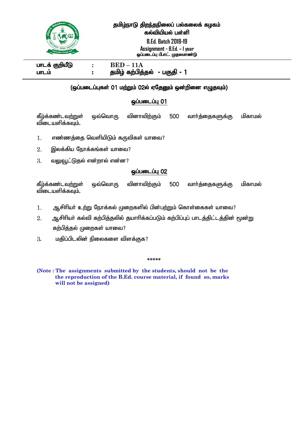

#### தமிழ்நாடு திறந்தநிலைப் பல்கலைக் கழகம் கல்வியியல் பள்ளி

**B.Ed. Batch 2018-19 Assignment - B.Ed. – I year** ஒப்படைப்பு பி.எட். முதலமாண்டு

ghlf; FwpaPL **: BED – 11A**  ghlk; : jkpo; fw;gpj;jy; - gFjp - 1

#### Ī (ஒப்படைப்புகள் 01 மற்றும் 02ல் ஏதேனும் ஒன்றினை எழுதவும்)

#### **ஒப்படைப்பு 01**

கீழ்க்கண்டவற்றுள் ஒவ்வொரு வினாவிற்கும் 500 வார்த்தைகளுக்கு மிகாமல் விடையளிக்கவும்.

- $1.$   $\;$  எண்ணக்கை வெளியிடும் கருவிகள் யாவை?
- $2.$  இலக்கிய நோக்கங்கள் யாவை?
- $3.$  வலுவூட்டுதல் என்றால் என்ன?

#### **@ப்படைப்பு 02**

கீழ்க்கண்டவற்றுள் ஒவ்வொரு வினாவிற்கும் 500 வார்த்தைகளுக்கு மிகாமல் விடையளிக்கவும்.

- $1.$  ஆசிரியர் உற்று நோக்கல் முறைகளில் பின்பற்றும் கொள்கைகள் யாவை?
- $2.$  ஆசிரியர் கல்வி கற்பித்தலில் தயாரிக்கப்படும் கற்பிப்புப் பாடத்திட்டத்தின் மூன்று கற்பித்தல் முறைகள் யாவை?
- $3.$  மகிப்பிடலின் நிலைகளை விளக்குக?

#### **\*\*\*\*\***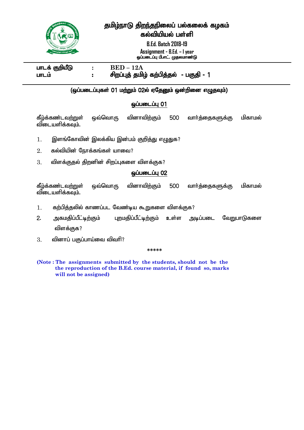தமிழ்நாடு திறந்தநிலைப் பல்கலைக் கழகம்



### கல்வியியல் பள்ளி

**B.Ed. Batch 2018-19 Assignment - B.Ed. – I year** ஒப்படைப்பு பி.எட். முதலமாண்டு

 $I = E$  **BED** – 12A ghlk; : rpwg;Gj; jkpo; fw;gpj;jy; - gFjp - 1

#### i<br>I (ஒப்படைப்புகள் 01 மற்றும் 02ல் ஏதேனும் ஒன்றினை எழுதவும்)

#### **ஒப்படைப்பு 01**

கீழ்க்கண்டவற்றுள் ஒவ்வொரு வினாவிற்கும் 500 வார்த்தைகளுக்கு மிகாமல் விடையளிக்கவும்.

- $1.$  இளங்கோவின் இலக்கிய இன்பம் குறித்து எழுதுக?
- $2.$  கல்வியின் நோக்கங்கள் யாவை?
- $3.$  விளக்குதல் திறனின் சிறப்புகளை விளக்குக?

#### **ஒப்படைப்பு 02**

கீழ்க்கண்டவற்றுள் ஒவ்வொரு வினாவிற்கும் 500 வார்த்தைகளுக்கு மிகாமல் விடையளிக்கவும்.

- $1.$  கற்பித்தலில் காணப்பட வேண்டிய கூறுகளை விளக்குக?
- 2. அகமதிப்பீட்டிற்கும் புறமதிப்பீட்டிற்கும் உள்ள அடிப்படை வேறுபாடுகளை விளக்குக?
- $3.$  வினாப் பகுப்பாய்வை விவரி?

**\*\*\*\*\***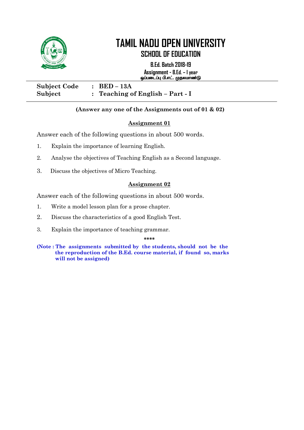

# **TAMIL NADU OPEN UNIVERSITY**

**SCHOOL OF EDUCATION**

**B.Ed. Batch 2018-19 Assignment - B.Ed. – I year** ஒப்படைப்பு பி.எட். முதலமாண்டு

٦

| <b>Subject Code</b> | $\therefore$ BED – 13A             |
|---------------------|------------------------------------|
| Subject             | : Teaching of English $-$ Part - I |

#### **(Answer any one of the Assignments out of 01 & 02)**

#### **Assignment 01**

Answer each of the following questions in about 500 words.

- 1. Explain the importance of learning English.
- 2. Analyse the objectives of Teaching English as a Second language.
- 3. Discuss the objectives of Micro Teaching. Ĭ

#### **Assignment 02**

Answer each of the following questions in about 500 words.

- 1. Write a model lesson plan for a prose chapter.
- 2. Discuss the characteristics of a good English Test.
- 3. Explain the importance of teaching grammar.

**\*\*\*\***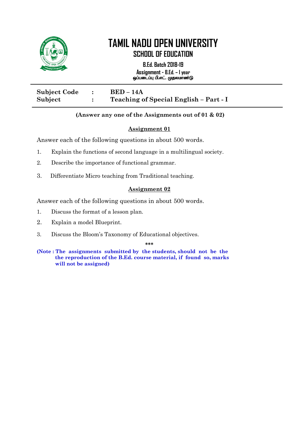

**B.Ed. Batch 2018-19 Assignment - B.Ed. – I year** ஒப்படைப்பு பி.எட். முதலமாண்டு

| <b>Subject Code</b> | $BED-14A$                              |
|---------------------|----------------------------------------|
| Subject             | Teaching of Special English - Part - I |

#### **(Answer any one of the Assignments out of 01 & 02)**

#### **Assignment 01**

Answer each of the following questions in about 500 words.

- 1. Explain the functions of second language in a multilingual society.
- 2. Describe the importance of functional grammar.
- 3. Differentiate Micro teaching from Traditional teaching. 3.

#### **Assignment 02**

Answer each of the following questions in about 500 words.

- 1. Discuss the format of a lesson plan.
- 2. Explain a model Blueprint.
- 3. Discuss the Bloom"s Taxonomy of Educational objectives.

**\*\*\***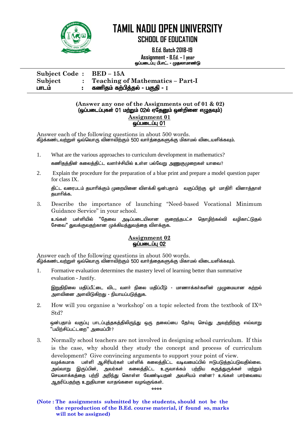

# **TAMIL NADU OPEN UNIVERSITY**

**SCHOOL OF EDUCATION**

 **B.Ed. Batch 2018-19 Assignment - B.Ed. – I year** ஒப்படைப்பு பி.எட். - முதலாமாண்டு

**Subject Code : BED – 15A Subject : Teaching of Mathematics – Part-I** ghlk; : fzpjk; fw;gpj;jy; - gFjp - **I**

#### **(Answer any one of the Assignments out of 01 & 02)**  $\overline{G}$ (ஒப்படைப்புகள் 01 மற்றும் 02ல் ஏதேனும் ஒன்றினை எழுதவும்) **Assignment 01**  $\omega$ ப்படைப்பு $\overline{01}$

Answer each of the following questions in about 500 words. கீழ்க்கண்டவற்றுள் ஒவ்வொரு வினாவிற்கும் 500 வார்த்தைகளுக்கு மிகாமல் விடையளிக்கவும்.

1. What are the various approaches to curriculum development in mathematics?

கணிகுத்தின் கலைத்திட்ட வளர்ச்சியில் உள்ள பல்வேறு <u>அணுகு</u>முறைகள் யாவை?

2. Explain the procedure for the preparation of a blue print and prepare a model question paper for class IX.

திட்ட வரைபடம் தயாரிக்கும் முறையினை விளக்கி ஒன்பதாம் வகுப்பிற்கு ஒர் மாதிரி வினாத்தாள் குயாரிக்க.

3. Describe the importance of launching "Need-based Vocational Minimum Guidance Service" in your school.

உங்கள் பள்ளியில் "தேவை அடிப்படையிலான குறைந்தபட்ச தொழிற்கல்வி வழிகாட்டுதல் சேவை" துவக்குவதற்கான முக்கியத்துவத்தை விளக்குக.

#### **Assignment 02 ஒப்படைப்பு 02**

Answer each of the following questions in about 500 words. கீழ்க்கண்டவற்றுள் ஒவ்வொரு வினாவிற்கும் 500 வார்த்தைகளுக்கு மிகாமல் விடையளிக்கவும்.

1. Formative evaluation determines the mastery level of learning better than summative evaluation - Justify.

<u>இறுதிநி</u>லை மதிப்பீட்டை விட, வளர் நிலை மதிப்பீடு - மாணாக்கர்களின் முழுமையான கற்றல் அளவினை அளவிடுகிறது - நியாயப்படுக்குக.

2. How will you organise a 'workshop' on a topic selected from the textbook of  $IX<sup>th</sup>$ Std?

ஒன்பதாம் வகுப்பு பாடப்புத்தகத்திலிருந்து ஒரு தலைப்பை தேர்வு செய்து அவற்றிற்கு எவ்வாறு '`பயிற்சிப்பட்டளை'' அமைப்பீர்?

3. Normally school teachers are not involved in designing school curriculum. If this is the case, why should they study the concept and process of curriculum development? Give convincing arguments to support your point of view. வழக்கமாக பள்ளி ஆசிரியர்கள் பள்ளிக் கலைத்திட்ட வடிவமைப்பில் ஈடுபடுத்தப்படுவதில்லை. அவ்வாறு இருப்பின், அவர்கள் கலைத்திட்ட உருவாக்கம் பற்றிய கருத்துருக்கள் மற்றும் செயலாக்கத்தை பற்றி அறிந்து கொள்ள வேண்டியதன் அவசியம் என்ன? உங்கள் பார்வையை ஆதரிப்பதற்கு உறுதியான வாதங்களை வழங்குங்கள்.

**\*\*\*\***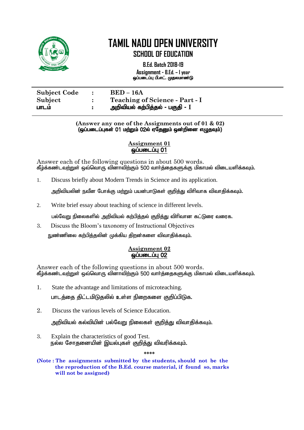

**B.Ed. Batch 2018-19 Assignment - B.Ed. – I year** ஒப்படைப்பு பி.எட். முதலமாண்டு

| <b>Subject Code</b> | $\mathbb{R}^n$ | $BED-16A$                                |
|---------------------|----------------|------------------------------------------|
| Subject             |                | <b>Teaching of Science - Part - I</b>    |
| பாடம                |                | <u> அறிவியல் கற்பித்த</u> ல் - பகுதி - I |

#### **(Answer any one of the Assignments out of 01 & 02)**  $\overline{G}$ (ஒப்படைப்புகள் 01 மற்றும் 02ல் ஏதேனும் ஒன்றினை எழுதவும்)

#### **Assignment 01**  $\overline{\omega}$ ப்படைப்ப $\overline{\omega}$  01

Answer each of the following questions in about 500 words. கீழ்க்கண்டவற்றுள் ஒவ்வொரு வினாவிற்கும் 500 வார்த்தைகளுக்கு மிகாமல் விடையளிக்கவும்.

1. Discuss briefly about Modern Trends in Science and its application.

அறிவியலின் நவீன போக்கு மற்றும் பயன்பாடுகள் குறித்து விரிவாக விவாதிக்கவும்.

2. Write brief essay about teaching of science in different levels.

பல்வேறு நிலைகளில் அறிவியல் கற்பிக்குல் குறிக்கு விரிவான கட்டுரை வரைக.

3. Discuss the Bloom's taxonomy of Instructional Objectives  $\mathsf F_1$ ண்ணிலை கற்பித்தலின் முக்கிய திறன்களை விவாதிக்கவும்.

#### **Assignment 02**  $\overline{\mathsf{GulumLil}}$  02

Answer each of the following questions in about 500 words. கீழ்க்கண்டவற்றுள் ஒவ்வொரு வினாவிற்கும் 500 வார்த்தைகளுக்கு மிகாமல் விடையளிக்கவும்.

- 1. State the advantage and limitations of microteaching. பாடத்தை திட்டமிடுதலில் உள்ள நிறைகளை குறிப்பிடுக.
- 2. Discuss the various levels of Science Education.

அறிவியல் கல்வியின் பல்வேறு நிலைகள் குறிக்கு விவாகிக்கவும்.

3. Explain the characteristics of good Test. நல்ல சோதனையின் இயல்புகள் குறித்து விவரிக்கவும்.

**\*\*\*\***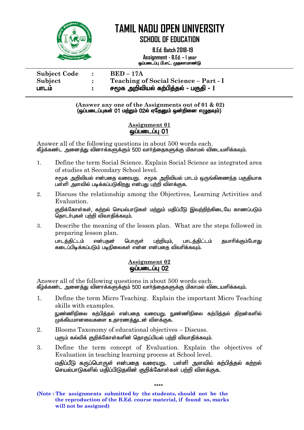

## **TAMIL NADU OPEN UNIVERSITY**

**SCHOOL OF EDUCATION**

 **B.Ed. Batch 2018-19 Assignment - B.Ed. – I year** ஒப்படைப்பு பி.எட். முதலாமாண்டு

**Subject Code : BED – 17A Subject : Teaching of Social Science – Part - I** ghlk; : r%f mwptpay; fw;gpj;jy; - gFjp - **I**

> **(Answer any one of the Assignments out of 01 & 02)**  $\overline{Q}$ (ஒப்படைப்புகள் 01 மற்றும் 02ல் ஏதேனும் ஒன்றினை எழுதவும்)

#### **Assignment 01**  ஒப்படைப்பு 01

Answer all of the following questions in about 500 words each. கீழ்க்கண்ட அனைத்து வினாக்களுக்கும் 500 வார்த்தைகளுக்கு மிகாமல் விடையளிக்கவும்.

1. Define the term Social Science. Explain Social Science as integrated area of studies at Secondary School level.

சமூக அறிவியல் என்பதை வரையறு. சமூக அறிவியல் பாடம் ஒருங்கிணைந்த பகுதியாக பள்ளி அளவில் படிக்கப்படுகிறது என்பது பற்றி விளக்குக.

2. Discuss the relationship among the Objectives, Learning Activities and Evaluation.

குறிக்கோள்கள், கற்றல் செயல்பாடுகள் மற்றும் மதிப்பீடு இவற்றிற்கிடையே காணப்படும் ரை $\widetilde{\mathsf{G}}$ காடர்பகள் பற்றி விவாகிக்கவம்.

3. Describe the meaning of the lesson plan. What are the steps followed in preparing lesson plan.

பாடத்திட்டம் என்பதன் பொருள் பற்றியும், பாடத்திட்டம் தயாரிக்கும்போது கடைப்பிடிக்கப்படும் படிநிலைகள் என்ன என்பதை விவரிக்கவும்.

#### **Assignment 02**  ஒப்படைப்பு 02

Answer all of the following questions in about 500 words each. கீழ்க்கண்ட அனைத்து வினாக்களுக்கும் 500 வார்த்தைகளுக்கு மிகாமல் விடையளிக்கவும்.

1. Define the term Micro Teaching. Explain the important Micro Teaching skills with examples.

நுண்ணிநிலை கற்பித்தல் என்பதை வரையறு. நுண்ணிநிலை கற்பித்தல் திறன்களில்  $\alpha$ நக்கியமானவைகளை உதாரணக்துடன் விளக்குக.

- 2. Blooms Taxonomy of educational objectives Discuss. புளும் கல்விக் குறிக்கோள்களின் தொகுப்பியல் பற்றி விவாதிக்கவும்.
- 3. Define the term concept of Evaluation. Explain the objectives of Evaluation in teaching learning process at School level. மகிப்பீடு கருப்பொருள் என்பகை வரையாட பள்ளி அளவில் கா்பிக்கல் கா்ால் செயல்பாடுகளில் மதிப்பிடுகலின் குறிக்கோள்கள் பற்றி விளக்குக.

\*\*\*\*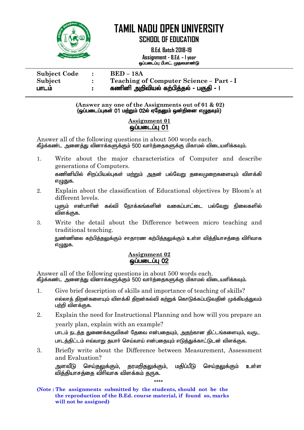

எழுதுக.

## **TAMIL NADU OPEN UNIVERSITY**

**SCHOOL OF EDUCATION**

 **B.Ed. Batch 2018-19 Assignment - B.Ed. – I year** xg;gilg;G gp.vl;. Kjykhz;L

| <b>Subject Code</b> | $\ddot{\cdot}$ | $BED - 18A$                             |
|---------------------|----------------|-----------------------------------------|
| Subject             |                | Teaching of Computer Science - Part - I |
| பாடம                |                | கணினி அறிவியல் கற்பித்தல் - பகுதி - ।   |

**(Answer any one of the Assignments out of 01 & 02)**  $\overline{Q}$ (ஒப்படைப்புகள் 01 மற்றும் 02ல் ஏதேனும் ஒன்றினை எழுதவும்)

#### **Assignment 01**  ஒப்படைப்ப 01

Answer all of the following questions in about 500 words each. கீழ்க்கண்ட அனைத்து வினாக்களுக்கும் 500 வார்த்தைகளுக்கு மிகாமல் விடையளிக்கவும்.

- 1. Write about the major characteristics of Computer and describe generations of Computers. கணினியில் சிறப்பியல்புகள் மற்றும் அதன் பல்வேறு தலைமுறைகளையும் விளக்கி எழுதுக.
- 2. Explain about the classification of Educational objectives by Bloom"s at different levels. பளும் என்பாரின் கல்வி நோக்கங்களின் வகைப்பாட்டை பல்வோட நிலைகளில் விளக்குக.
- 3. Write the detail about the Difference between micro teaching and traditional teaching. நுண்ணிலை கற்பித்தலுக்கும் சாதாரண கற்பித்தலுக்கும் உள்ள வித்தியாசத்தை விரிவாக

#### **Assignment 02**   $\omega$ ப்படைப்ப $\Omega$

Answer all of the following questions in about 500 words each. கீழ்க்கண்ட அனைத்து வினாக்களுக்கும் 500 வார்த்தைகளுக்கு மிகாமல் விடையளிக்கவும்.

- 1. Give brief description of skills and importance of teaching of skills? எல்லாத் திறன்களையும் விளக்கி திறன்கல்வி கற்றுக் கொடுக்கப்படுவதின் முக்கிய<u>த்து</u>வம் பற்றி விளக்குக.
- 2. Explain the need for Instructional Planning and how will you prepare an yearly plan, explain with an example? பாடம் நடத்த துணைக்கருவிகள் தேவை என்பதையும், அதற்கான திட்டங்களையும், வருட பாடத்திட்டம் எவ்வாறு தயார் செய்வாய் என்பதையும் எடுத்துக்காட்டுடன் விளக்குக.
- 3. Briefly write about the Difference between Measurement, Assessment and Evaluation? அளவீடு செய்தலுக்கும், தரமறிதலுக்கும், மதிப்பீடு செய்தலுக்கும் உள்ள விக்கியாசக்கை விரிவாக விளக்கம் கருக.

 $\mathbf{r}$  .  $\mathbf{r}$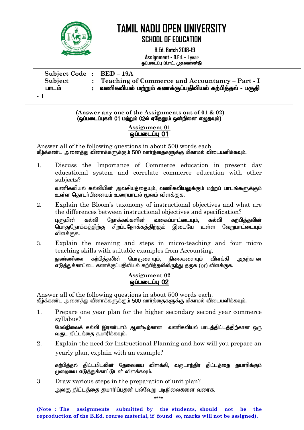

விளக்குக.

## **TAMIL NADU OPEN UNIVERSITY**

**SCHOOL OF EDUCATION**

**B.Ed. Batch 2018-19 Assignment - B.Ed. – I year** ஒப்படைப்பு பி.எட். முதலமாண்டு

| Subject Code: BED-19A |                                                       |
|-----------------------|-------------------------------------------------------|
| Subject               | : Teaching of Commerce and Accountancy – Part - I     |
| பாடம                  | வணிகவியல் மற்றும் கணக்குப்பதிவியல் கற்பித்தல் - பகுதி |
|                       |                                                       |

- **I**

**(Answer any one of the Assignments out of 01 & 02)**  $\overline{Q}$ (ஒப்படைப்புகள் 01 மற்றும் 02ல் ஏதேனும் ஒன்றினை எழுதவும்)

#### **Assignment 01**   $\omega$ ப்படைப்பு $01$

Answer all of the following questions in about 500 words each. கீழ்க்கண்ட அனைத்து வினாக்களுக்கும் 500 வார்த்தைகளுக்கு மிகாமல் விடையளிக்கவும்.

1. Discuss the Importance of Commerce education in present day educational system and correlate commerce education with other subjects?

வணிகவியல் கல்வியின் அவசியத்தையும், வணிகவியலுக்கும் மற்றப் பாடங்களுக்கும் உள்ள தொடர்பினையும் உரையாடல் மூலம் விளக்குக.

- 2. Explain the Bloom"s taxonomy of instructional objectives and what are the differences between instructional objectives and specification? புளுமின் கல்வி நோக்கங்களின் வகைப்பாட்டையும். கல்வி கற்பிக்கலின் பொதுநோக்கத்திற்கு சிறப்புநோக்கத்திற்கும் இடையே உள்ள வேறுபாட்டையும்
- 3. Explain the meaning and steps in micro-teaching and four micro teaching skills with suitable examples from Accounting. நுண்ணிலை கற்பித்தலின் பொருளையும், நிலைகளையும் விளக்கி <u>அ</u>தற்கான ,<br>எடுத்துக்காட்டை கணக்குப்பதிவியல் கற்பித்தலிலிருந்து தருக (or) விளக்குக.

#### **Assignment 02**  ஒப்படைப்பு 02

Answer all of the following questions in about 500 words each. கீழ்க்கண்ட அனைத்து வினாக்களுக்கும் 500 வார்த்தைகளுக்கு மிகாமல் விடையளிக்கவும்.

1. Prepare one year plan for the higher secondary second year commerce syllabus?

மேல்நிலைக் கல்வி இரண்டாம் ஆண்டிற்கான வணிகவியல் பாடத்திட்டத்திற்கான ஒரு வருட கிட்டக்கை கயாரிக்கவும்.

2. Explain the need for Instructional Planning and how will you prepare an yearly plan, explain with an example?

கற்பித்தல் திட்டமிடலின் தேவையை விளக்கி, வருடாந்திர திட்டத்தை தயாரிக்கும்  $\mu$ றையை எடுத்துக்காட்டுடன் விளக்கவும்.

3. Draw various steps in the preparation of unit plan? அலகு கிட்டக்கை கயாரிப்பகன் பல்வோு படிநிலைகளை வரைக.

\*\*\*\*